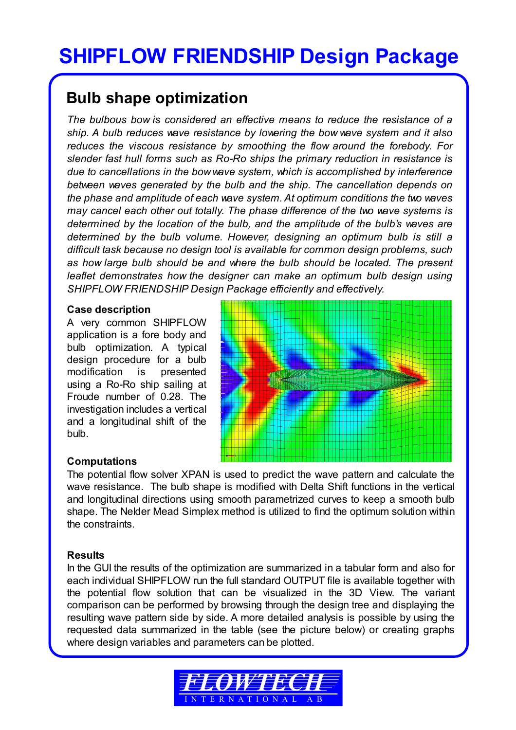# **SHIPFLOW FRIENDSHIP Design Package**

# **Bulb shape optimization**

*The bulbous bow is considered an effective means to reduce the resistance of a ship. A bulb reduces wave resistance by lowering the bow wave system and it also reduces the viscous resistance by smoothing the flow around the forebody. For slender fast hull forms such as Ro-Ro ships the primary reduction in resistance is due to cancellations in the bow wave system, which is accomplished by interference between waves generated by the bulb and the ship. The cancellation depends on the phase and amplitude of each wave system. At optimum conditions the two waves may cancel each other out totally. The phase difference of the two wave systems is determined by the location of the bulb, and the amplitude of the bulb's waves are determined by the bulb volume. However, designing an optimum bulb is still a difficult task because no design tool is available for common design problems, such as how large bulb should be and where the bulb should be located. The present leaflet demonstrates how the designer can make an optimum bulb design using SHIPFLOW FRIENDSHIP Design Package efficiently and effectively.* 

#### **Case description**

A very common SHIPFLOW application is a fore body and bulb optimization. A typical design procedure for a bulb modification is presented using a Ro-Ro ship sailing at Froude number of 0.28. The investigation includes a vertical and a longitudinal shift of the bulb.



## **Computations**

The potential flow solver XPAN is used to predict the wave pattern and calculate the wave resistance. The bulb shape is modified with Delta Shift functions in the vertical and longitudinal directions using smooth parametrized curves to keep a smooth bulb shape. The Nelder Mead Simplex method is utilized to find the optimum solution within the constraints.

## **Results**

In the GUI the results of the optimization are summarized in a tabular form and also for each individual SHIPFLOW run the full standard OUTPUT file is available together with the potential flow solution that can be visualized in the 3D View. The variant comparison can be performed by browsing through the design tree and displaying the resulting wave pattern side by side. A more detailed analysis is possible by using the requested data summarized in the table (see the picture below) or creating graphs where design variables and parameters can be plotted.